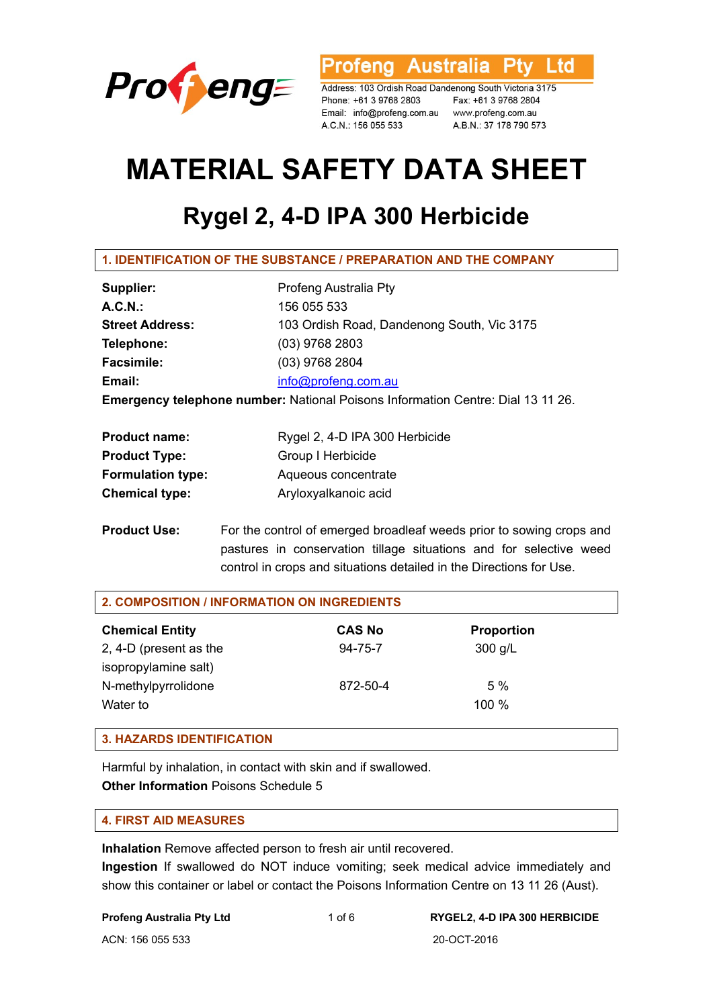

rofeng Australia Ptv Ltd

Address: 103 Ordish Road Dandenong South Victoria 3175 Phone: +61 3 9768 2803 Fax: +61 3 9768 2804 A.C.N.: 156 055 533

A.B.N.: 37 178 790 573

# **MATERIAL SAFETY DATA SHEET**

# **Rygel 2, 4-D IPA 300 Herbicide**

| Supplier:                                                                              | Profeng Australia Pty                      |  |
|----------------------------------------------------------------------------------------|--------------------------------------------|--|
| A.C.N.                                                                                 | 156 055 533                                |  |
| <b>Street Address:</b>                                                                 | 103 Ordish Road, Dandenong South, Vic 3175 |  |
| Telephone:                                                                             | $(03)$ 9768 2803                           |  |
| <b>Facsimile:</b>                                                                      | (03) 9768 2804                             |  |
| Email:                                                                                 | info@profeng.com.au                        |  |
| <b>Emergency telephone number:</b> National Poisons Information Centre: Dial 13 11 26. |                                            |  |

| <b>Product name:</b>     | Rygel 2, 4-D IPA 300 Herbicide |
|--------------------------|--------------------------------|
| <b>Product Type:</b>     | Group I Herbicide              |
| <b>Formulation type:</b> | Aqueous concentrate            |
| <b>Chemical type:</b>    | Aryloxyalkanoic acid           |

**Product Use:** For the control of emerged broadleaf weeds prior to sowing crops and pastures in conservation tillage situations and for selective weed control in crops and situations detailed in the Directions for Use.

| 2. COMPOSITION / INFORMATION ON INGREDIENTS |               |                   |  |  |
|---------------------------------------------|---------------|-------------------|--|--|
| <b>Chemical Entity</b>                      | <b>CAS No</b> | <b>Proportion</b> |  |  |
| 2, 4-D (present as the                      | $94 - 75 - 7$ | $300$ g/L         |  |  |
| isopropylamine salt)                        |               |                   |  |  |
| N-methylpyrrolidone                         | 872-50-4      | 5%                |  |  |
| Water to                                    |               | 100 %             |  |  |
|                                             |               |                   |  |  |

## **3. HAZARDS IDENTIFICATION**

Harmful by inhalation, in contact with skin and if swallowed. **Other Information** Poisons Schedule 5

#### **4. FIRST AID MEASURES**

**Inhalation** Remove affected person to fresh air until recovered.

**Ingestion** If swallowed do NOT induce vomiting; seek medical advice immediately and show this container or label or contact the Poisons Information Centre on 13 11 26 (Aust).

#### **Profeng Australia Pty Ltd** 1 of 6 **RYGEL2, 4-D IPA 300 HERBICIDE**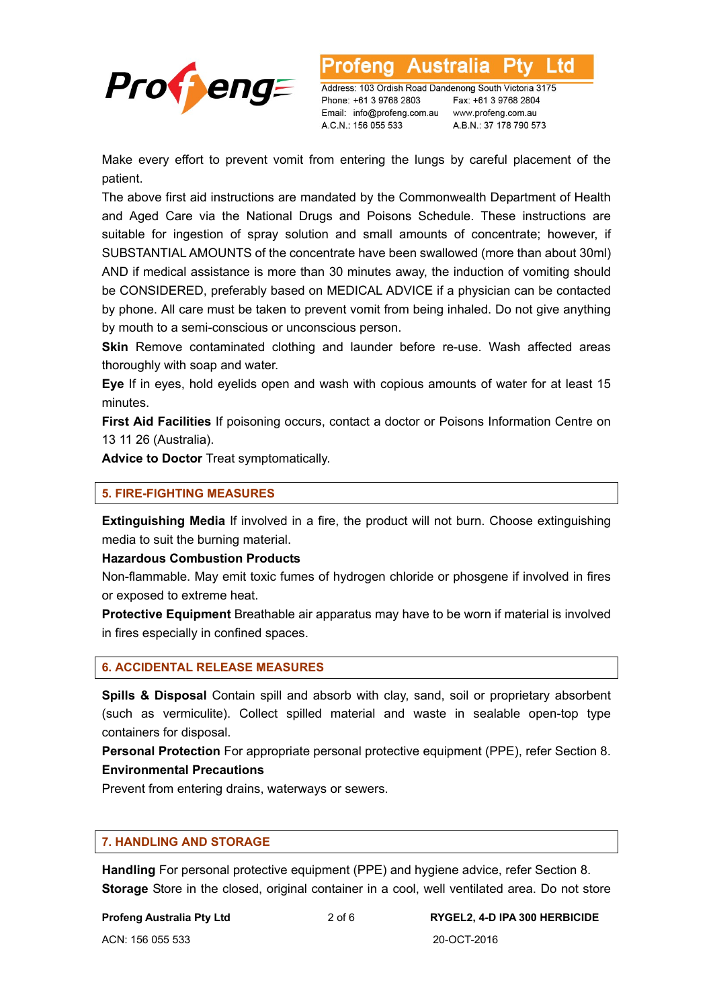

**Australia** ∟td

Address: 103 Ordish Road Dandenong South Victoria 3175 Phone: +61 3 9768 2803 Email: info@profeng.com.au www.profeng.com.au A.C.N.: 156 055 533

Fax: +61 3 9768 2804 A.B.N.: 37 178 790 573

Make every effort to prevent vomit from entering the lungs by careful placement of the patient.

The above first aid instructions are mandated by the Commonwealth Department of Health and Aged Care via the National Drugs and Poisons Schedule. These instructions are suitable for ingestion of spray solution and small amounts of concentrate; however, if SUBSTANTIAL AMOUNTS of the concentrate have been swallowed (more than about 30ml) AND if medical assistance is more than 30 minutes away, the induction of vomiting should be CONSIDERED, preferably based on MEDICAL ADVICE if a physician can be contacted by phone. All care must be taken to prevent vomit from being inhaled. Do not give anything by mouth to a semi-conscious or unconscious person.

**Skin** Remove contaminated clothing and launder before re-use. Wash affected areas thoroughly with soap and water.

**Eye** If in eyes, hold eyelids open and wash with copious amounts of water for at least 15 minutes.

**First Aid Facilities** If poisoning occurs, contact a doctor or Poisons Information Centre on 13 11 26 (Australia).

**Advice to Doctor** Treat symptomatically.

#### **5. FIRE-FIGHTING MEASURES**

**Extinguishing Media** If involved in a fire, the product will not burn. Choose extinguishing media to suit the burning material.

**Hazardous Combustion Products** 

Non-flammable. May emit toxic fumes of hydrogen chloride or phosgene if involved in fires or exposed to extreme heat.

**Protective Equipment** Breathable air apparatus may have to be worn if material is involved in fires especially in confined spaces.

#### **6. ACCIDENTAL RELEASE MEASURES**

**Spills & Disposal** Contain spill and absorb with clay, sand, soil or proprietary absorbent (such as vermiculite). Collect spilled material and waste in sealable open-top type containers for disposal.

**Personal Protection** For appropriate personal protective equipment (PPE), refer Section 8. **Environmental Precautions** 

Prevent from entering drains, waterways or sewers.

#### **7. HANDLING AND STORAGE**

**Handling** For personal protective equipment (PPE) and hygiene advice, refer Section 8. **Storage** Store in the closed, original container in a cool, well ventilated area. Do not store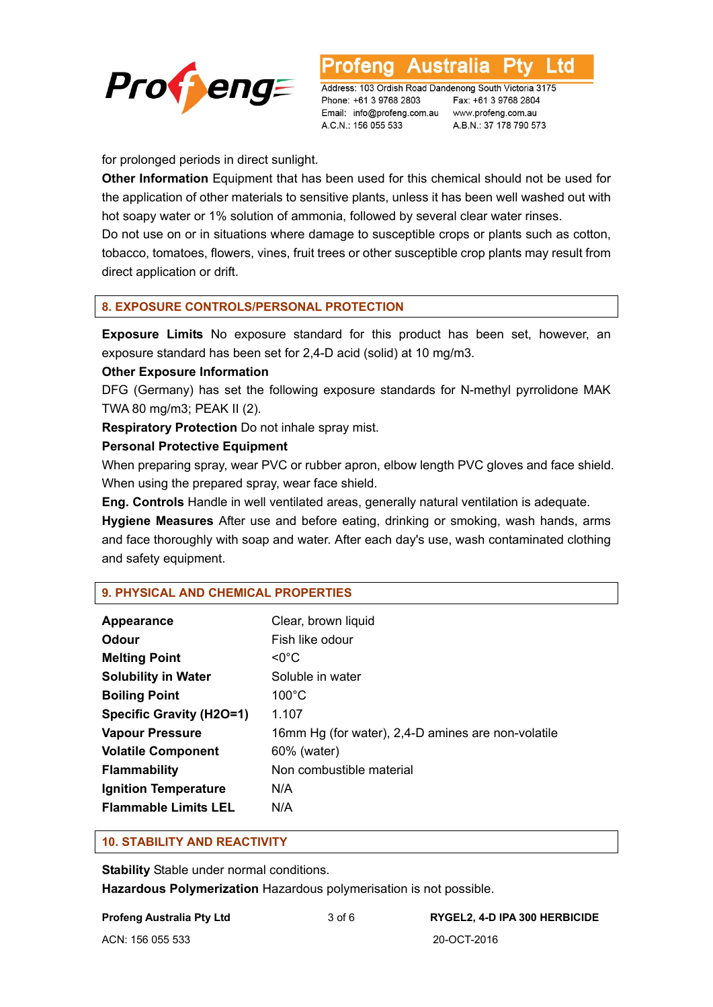

Australia ∟td

Address: 103 Ordish Road Dandenong South Victoria 3175 Phone: +61 3 9768 2803 Email: info@profeng.com.au www.profeng.com.au A.C.N.: 156 055 533

Fax: +61 3 9768 2804 A.B.N.: 37 178 790 573

for prolonged periods in direct sunlight.

**Other Information** Equipment that has been used for this chemical should not be used for the application of other materials to sensitive plants, unless it has been well washed out with hot soapy water or 1% solution of ammonia, followed by several clear water rinses. Do not use on or in situations where damage to susceptible crops or plants such as cotton, tobacco, tomatoes, flowers, vines, fruit trees or other susceptible crop plants may result from direct application or drift.

#### **8. EXPOSURE CONTROLS/PERSONAL PROTECTION**

**Exposure Limits** No exposure standard for this product has been set, however, an exposure standard has been set for 2,4-D acid (solid) at 10 mg/m3.

#### **Other Exposure Information**

DFG (Germany) has set the following exposure standards for N-methyl pyrrolidone MAK TWA 80 mg/m3; PEAK II (2).

**Respiratory Protection** Do not inhale spray mist.

#### **Personal Protective Equipment**

When preparing spray, wear PVC or rubber apron, elbow length PVC gloves and face shield. When using the prepared spray, wear face shield.

**Eng. Controls** Handle in well ventilated areas, generally natural ventilation is adequate.

**Hygiene Measures** After use and before eating, drinking or smoking, wash hands, arms and face thoroughly with soap and water. After each day's use, wash contaminated clothing and safety equipment.

#### **9. PHYSICAL AND CHEMICAL PROPERTIES**

| Appearance                      | Clear, brown liquid                                |
|---------------------------------|----------------------------------------------------|
|                                 |                                                    |
| Odour                           | Fish like odour                                    |
| <b>Melting Point</b>            | $<$ 0 $^{\circ}$ C                                 |
| <b>Solubility in Water</b>      | Soluble in water                                   |
| <b>Boiling Point</b>            | $100^{\circ}$ C                                    |
| <b>Specific Gravity (H2O=1)</b> | 1.107                                              |
| <b>Vapour Pressure</b>          | 16mm Hg (for water), 2,4-D amines are non-volatile |
| <b>Volatile Component</b>       | 60% (water)                                        |
| <b>Flammability</b>             | Non combustible material                           |
| <b>Ignition Temperature</b>     | N/A                                                |
| <b>Flammable Limits LEL</b>     | N/A                                                |

#### **10. STABILITY AND REACTIVITY**

**Stability** Stable under normal conditions. **Hazardous Polymerization** Hazardous polymerisation is not possible.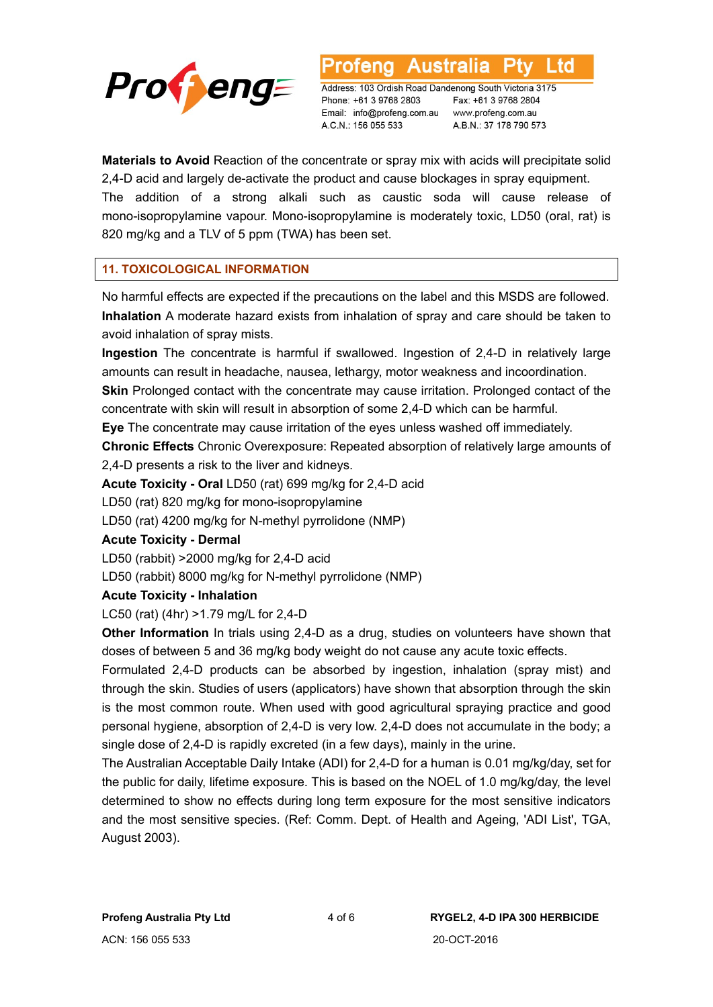

∟td

Address: 103 Ordish Road Dandenong South Victoria 3175 Phone: +61 3 9768 2803 Email: info@profeng.com.au www.profeng.com.au A.C.N.: 156 055 533

Fax: +61 3 9768 2804 A.B.N.: 37 178 790 573

**Materials to Avoid** Reaction of the concentrate or spray mix with acids will precipitate solid 2,4-D acid and largely de-activate the product and cause blockages in spray equipment. The addition of a strong alkali such as caustic soda will cause release of mono-isopropylamine vapour. Mono-isopropylamine is moderately toxic, LD50 (oral, rat) is

#### **11. TOXICOLOGICAL INFORMATION**

820 mg/kg and a TLV of 5 ppm (TWA) has been set.

No harmful effects are expected if the precautions on the label and this MSDS are followed. **Inhalation** A moderate hazard exists from inhalation of spray and care should be taken to avoid inhalation of spray mists.

**Ingestion** The concentrate is harmful if swallowed. Ingestion of 2,4-D in relatively large amounts can result in headache, nausea, lethargy, motor weakness and incoordination.

**Skin** Prolonged contact with the concentrate may cause irritation. Prolonged contact of the concentrate with skin will result in absorption of some 2,4-D which can be harmful.

**Eye** The concentrate may cause irritation of the eyes unless washed off immediately.

**Chronic Effects** Chronic Overexposure: Repeated absorption of relatively large amounts of 2,4-D presents a risk to the liver and kidneys.

**Acute Toxicity - Oral** LD50 (rat) 699 mg/kg for 2,4-D acid

LD50 (rat) 820 mg/kg for mono-isopropylamine

LD50 (rat) 4200 mg/kg for N-methyl pyrrolidone (NMP)

#### **Acute Toxicity - Dermal**

LD50 (rabbit) >2000 mg/kg for 2,4-D acid

LD50 (rabbit) 8000 mg/kg for N-methyl pyrrolidone (NMP)

#### **Acute Toxicity - Inhalation**

LC50 (rat) (4hr) >1.79 mg/L for 2,4-D

**Other Information** In trials using 2,4-D as a drug, studies on volunteers have shown that doses of between 5 and 36 mg/kg body weight do not cause any acute toxic effects.

Formulated 2,4-D products can be absorbed by ingestion, inhalation (spray mist) and through the skin. Studies of users (applicators) have shown that absorption through the skin is the most common route. When used with good agricultural spraying practice and good personal hygiene, absorption of 2,4-D is very low. 2,4-D does not accumulate in the body; a single dose of 2,4-D is rapidly excreted (in a few days), mainly in the urine.

The Australian Acceptable Daily Intake (ADI) for 2,4-D for a human is 0.01 mg/kg/day, set for the public for daily, lifetime exposure. This is based on the NOEL of 1.0 mg/kg/day, the level determined to show no effects during long term exposure for the most sensitive indicators and the most sensitive species. (Ref: Comm. Dept. of Health and Ageing, 'ADI List', TGA, August 2003).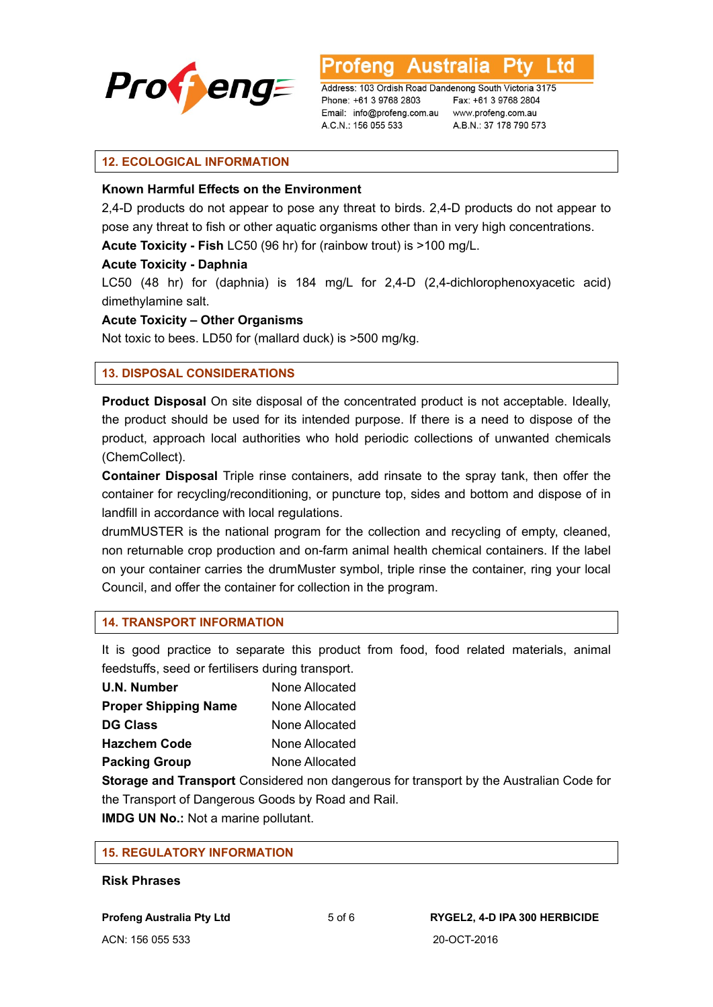

Australia Ltd

Address: 103 Ordish Road Dandenong South Victoria 3175 Phone: +61 3 9768 2803 Email: info@profeng.com.au www.profeng.com.au A.C.N.: 156 055 533

Fax: +61 3 9768 2804 A.B.N.: 37 178 790 573

#### **12. ECOLOGICAL INFORMATION**

#### **Known Harmful Effects on the Environment**

2,4-D products do not appear to pose any threat to birds. 2,4-D products do not appear to pose any threat to fish or other aquatic organisms other than in very high concentrations. **Acute Toxicity - Fish** LC50 (96 hr) for (rainbow trout) is >100 mg/L.

#### **Acute Toxicity - Daphnia**

LC50 (48 hr) for (daphnia) is 184 mg/L for 2,4-D (2,4-dichlorophenoxyacetic acid) dimethylamine salt.

#### **Acute Toxicity – Other Organisms**

Not toxic to bees. LD50 for (mallard duck) is >500 mg/kg.

#### **13. DISPOSAL CONSIDERATIONS**

**Product Disposal** On site disposal of the concentrated product is not acceptable. Ideally, the product should be used for its intended purpose. If there is a need to dispose of the product, approach local authorities who hold periodic collections of unwanted chemicals (ChemCollect).

**Container Disposal** Triple rinse containers, add rinsate to the spray tank, then offer the container for recycling/reconditioning, or puncture top, sides and bottom and dispose of in landfill in accordance with local regulations.

drumMUSTER is the national program for the collection and recycling of empty, cleaned, non returnable crop production and on-farm animal health chemical containers. If the label on your container carries the drumMuster symbol, triple rinse the container, ring your local Council, and offer the container for collection in the program.

#### **14. TRANSPORT INFORMATION**

It is good practice to separate this product from food, food related materials, animal feedstuffs, seed or fertilisers during transport.

| U.N. Number                 | None Allocated |
|-----------------------------|----------------|
| <b>Proper Shipping Name</b> | None Allocated |
| <b>DG Class</b>             | None Allocated |
| <b>Hazchem Code</b>         | None Allocated |
| <b>Packing Group</b>        | None Allocated |

**Storage and Transport** Considered non dangerous for transport by the Australian Code for the Transport of Dangerous Goods by Road and Rail.

**IMDG UN No.:** Not a marine pollutant.

#### **15. REGULATORY INFORMATION**

#### **Risk Phrases**